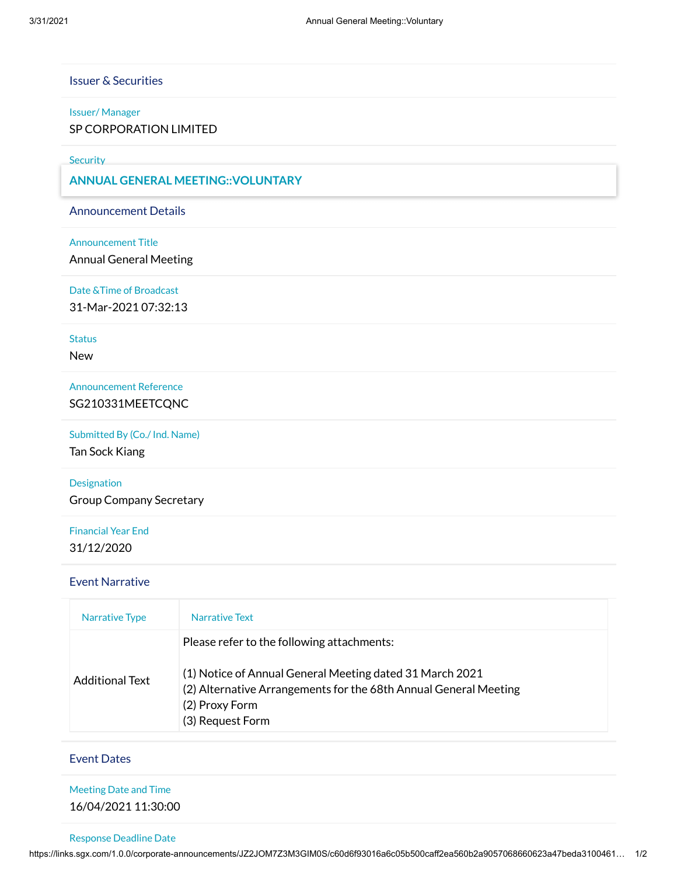# Issuer & Securities

### Issuer/ Manager

SP CORPORATION LIMITED

**Security** 

SP CORPORATION LIMITED - SG1AJ0000007 - AWE **ANNUAL GENERAL MEETING::VOLUNTARY**

Announcement Details

#### Announcement Title

Annual General Meeting

Date &Time of Broadcast

31-Mar-2021 07:32:13

### **Status**

New

Announcement Reference SG210331MEETCQNC

Submitted By (Co./ Ind. Name)

Tan Sock Kiang

Designation Group Company Secretary

# Financial Year End 31/12/2020

### Event Narrative

| Narrative Type  | Narrative Text                                                                                                                                                                                                   |
|-----------------|------------------------------------------------------------------------------------------------------------------------------------------------------------------------------------------------------------------|
| Additional Text | Please refer to the following attachments:<br>(1) Notice of Annual General Meeting dated 31 March 2021<br>(2) Alternative Arrangements for the 68th Annual General Meeting<br>(2) Proxy Form<br>(3) Request Form |

### Event Dates

| <b>Meeting Date and Time</b> |  |
|------------------------------|--|
| 16/04/2021 11:30:00          |  |

### Response Deadline Date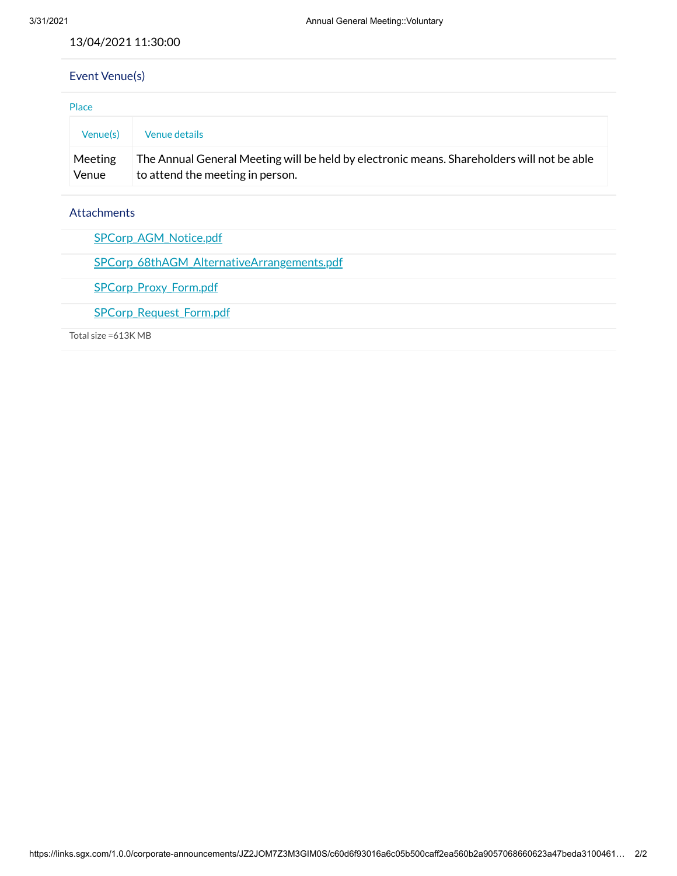### 13/04/2021 11:30:00

# Event Venue(s)

| Place            |                                                                                                                                |  |  |
|------------------|--------------------------------------------------------------------------------------------------------------------------------|--|--|
| Venue(s)         | Venue details                                                                                                                  |  |  |
| Meeting<br>Venue | The Annual General Meeting will be held by electronic means. Shareholders will not be able<br>to attend the meeting in person. |  |  |

## Attachments

| <b>SPCorp AGM Notice.pdf</b>                      |
|---------------------------------------------------|
| <b>SPCorp 68thAGM AlternativeArrangements.pdf</b> |
| <b>SPCorp Proxy Form.pdf</b>                      |
| <b>SPCorp Request Form.pdf</b>                    |
| Total size =613K MB                               |
|                                                   |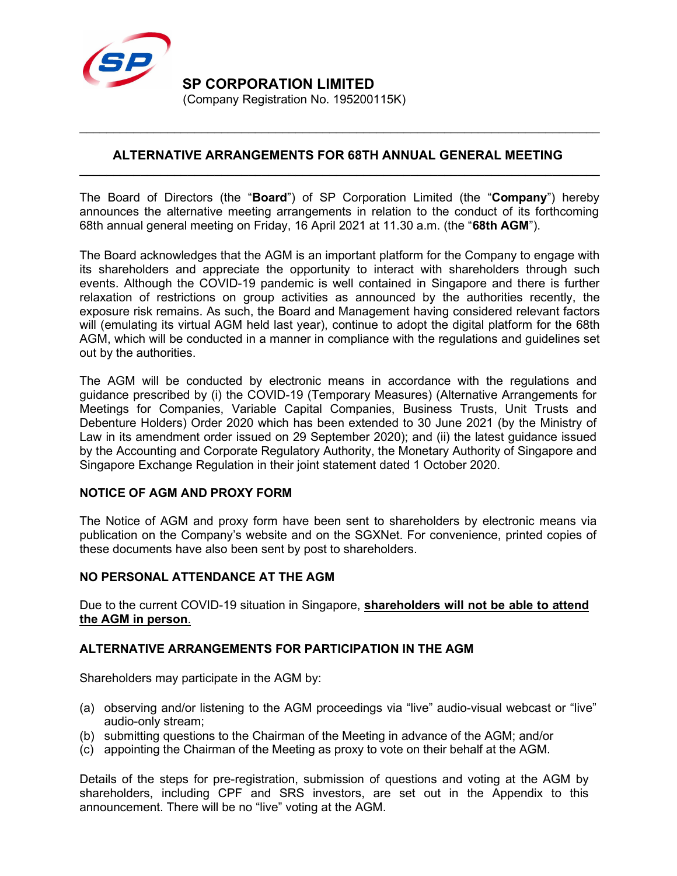

## ALTERNATIVE ARRANGEMENTS FOR 68TH ANNUAL GENERAL MEETING  $\mathcal{L}_\text{max}$  and  $\mathcal{L}_\text{max}$  and  $\mathcal{L}_\text{max}$  and  $\mathcal{L}_\text{max}$  and  $\mathcal{L}_\text{max}$  and  $\mathcal{L}_\text{max}$

 $\mathcal{L}_\text{max}$  and  $\mathcal{L}_\text{max}$  and  $\mathcal{L}_\text{max}$  and  $\mathcal{L}_\text{max}$  and  $\mathcal{L}_\text{max}$  and  $\mathcal{L}_\text{max}$ 

The Board of Directors (the "**Board**") of SP Corporation Limited (the "Company") hereby announces the alternative meeting arrangements in relation to the conduct of its forthcoming 68th annual general meeting on Friday, 16 April 2021 at 11.30 a.m. (the "68th AGM").

The Board acknowledges that the AGM is an important platform for the Company to engage with its shareholders and appreciate the opportunity to interact with shareholders through such events. Although the COVID-19 pandemic is well contained in Singapore and there is further relaxation of restrictions on group activities as announced by the authorities recently, the exposure risk remains. As such, the Board and Management having considered relevant factors will (emulating its virtual AGM held last year), continue to adopt the digital platform for the 68th AGM, which will be conducted in a manner in compliance with the regulations and guidelines set out by the authorities.

The AGM will be conducted by electronic means in accordance with the regulations and guidance prescribed by (i) the COVID-19 (Temporary Measures) (Alternative Arrangements for Meetings for Companies, Variable Capital Companies, Business Trusts, Unit Trusts and Debenture Holders) Order 2020 which has been extended to 30 June 2021 (by the Ministry of Law in its amendment order issued on 29 September 2020); and (ii) the latest guidance issued by the Accounting and Corporate Regulatory Authority, the Monetary Authority of Singapore and Singapore Exchange Regulation in their joint statement dated 1 October 2020.

# NOTICE OF AGM AND PROXY FORM

The Notice of AGM and proxy form have been sent to shareholders by electronic means via publication on the Company's website and on the SGXNet. For convenience, printed copies of these documents have also been sent by post to shareholders.

### NO PERSONAL ATTENDANCE AT THE AGM

Due to the current COVID-19 situation in Singapore, **shareholders will not be able to attend** the AGM in person.

# ALTERNATIVE ARRANGEMENTS FOR PARTICIPATION IN THE AGM

Shareholders may participate in the AGM by:

- (a) observing and/or listening to the AGM proceedings via "live" audio-visual webcast or "live" audio-only stream;
- (b) submitting questions to the Chairman of the Meeting in advance of the AGM; and/or
- (c) appointing the Chairman of the Meeting as proxy to vote on their behalf at the AGM.

Details of the steps for pre-registration, submission of questions and voting at the AGM by shareholders, including CPF and SRS investors, are set out in the Appendix to this announcement. There will be no "live" voting at the AGM.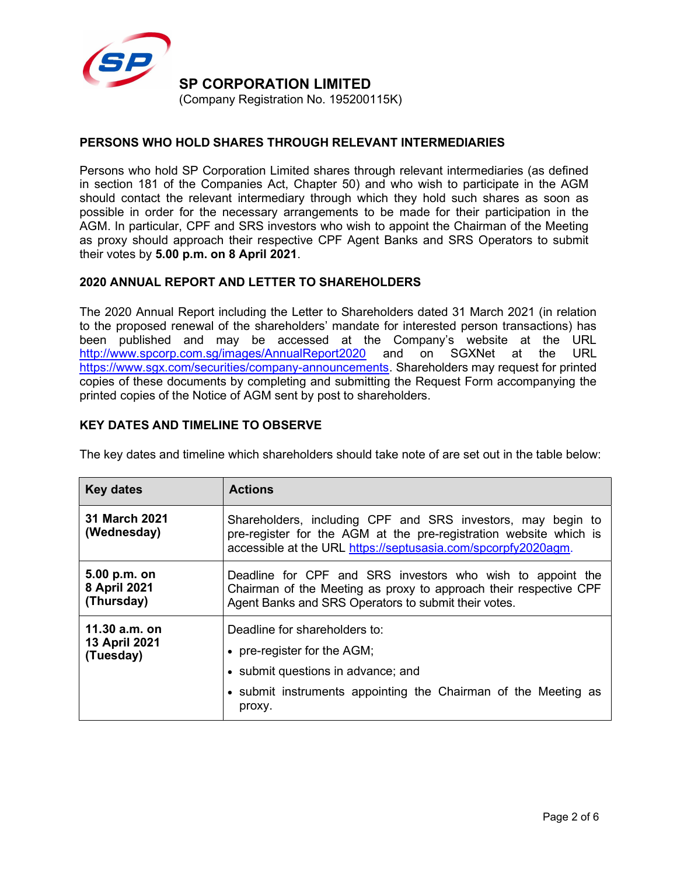

# PERSONS WHO HOLD SHARES THROUGH RELEVANT INTERMEDIARIES

Persons who hold SP Corporation Limited shares through relevant intermediaries (as defined in section 181 of the Companies Act, Chapter 50) and who wish to participate in the AGM should contact the relevant intermediary through which they hold such shares as soon as possible in order for the necessary arrangements to be made for their participation in the AGM. In particular, CPF and SRS investors who wish to appoint the Chairman of the Meeting as proxy should approach their respective CPF Agent Banks and SRS Operators to submit their votes by 5.00 p.m. on 8 April 2021.

# 2020 ANNUAL REPORT AND LETTER TO SHAREHOLDERS

The 2020 Annual Report including the Letter to Shareholders dated 31 March 2021 (in relation to the proposed renewal of the shareholders' mandate for interested person transactions) has been published and may be accessed at the Company's website at the URL http://www.spcorp.com.sg/images/AnnualReport2020 and on SGXNet at the URL https://www.sgx.com/securities/company-announcements. Shareholders may request for printed copies of these documents by completing and submitting the Request Form accompanying the printed copies of the Notice of AGM sent by post to shareholders.

## KEY DATES AND TIMELINE TO OBSERVE

|  |  | The key dates and timeline which shareholders should take note of are set out in the table below: |  |
|--|--|---------------------------------------------------------------------------------------------------|--|
|--|--|---------------------------------------------------------------------------------------------------|--|

| <b>Key dates</b>                            | <b>Actions</b>                                                                                                                                                                                                                                                                                                                                                                               |  |
|---------------------------------------------|----------------------------------------------------------------------------------------------------------------------------------------------------------------------------------------------------------------------------------------------------------------------------------------------------------------------------------------------------------------------------------------------|--|
| 31 March 2021<br>(Wednesday)                | Shareholders, including CPF and SRS investors, may begin to<br>pre-register for the AGM at the pre-registration website which is<br>accessible at the URL https://septusasia.com/spcorpfy2020agm.<br>Deadline for CPF and SRS investors who wish to appoint the<br>Chairman of the Meeting as proxy to approach their respective CPF<br>Agent Banks and SRS Operators to submit their votes. |  |
| 5.00 p.m. on<br>8 April 2021<br>(Thursday)  |                                                                                                                                                                                                                                                                                                                                                                                              |  |
| 11.30 a.m. on<br>13 April 2021<br>(Tuesday) | Deadline for shareholders to:<br>• pre-register for the $AGM$ ;<br>• submit questions in advance; and<br>• submit instruments appointing the Chairman of the Meeting as<br>proxy.                                                                                                                                                                                                            |  |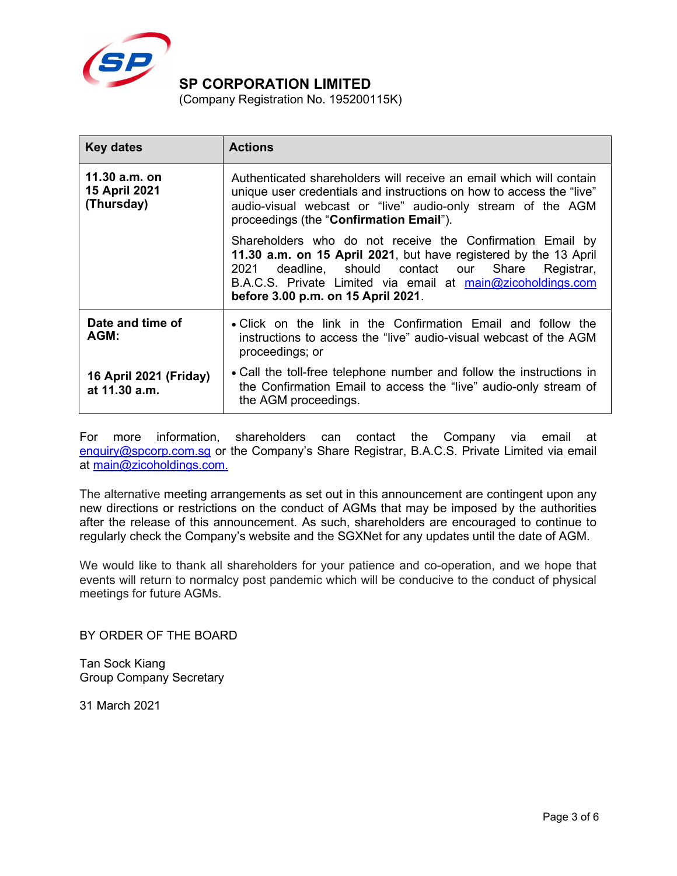

(Company Registration No. 195200115K)

| <b>Key dates</b>                             | <b>Actions</b>                                                                                                                                                                                                                                                                                 |
|----------------------------------------------|------------------------------------------------------------------------------------------------------------------------------------------------------------------------------------------------------------------------------------------------------------------------------------------------|
| 11.30 a.m. on<br>15 April 2021<br>(Thursday) | Authenticated shareholders will receive an email which will contain<br>unique user credentials and instructions on how to access the "live"<br>audio-visual webcast or "live" audio-only stream of the AGM<br>proceedings (the "Confirmation Email").                                          |
|                                              | Shareholders who do not receive the Confirmation Email by<br>11.30 a.m. on 15 April 2021, but have registered by the 13 April<br>deadline, should contact our Share<br>2021<br>Registrar,<br>B.A.C.S. Private Limited via email at main@zicoholdings.com<br>before 3.00 p.m. on 15 April 2021. |
| Date and time of<br>AGM:                     | • Click on the link in the Confirmation Email and follow the<br>instructions to access the "live" audio-visual webcast of the AGM<br>proceedings; or                                                                                                                                           |
| 16 April 2021 (Friday)<br>at 11.30 a.m.      | • Call the toll-free telephone number and follow the instructions in<br>the Confirmation Email to access the "live" audio-only stream of<br>the AGM proceedings.                                                                                                                               |

For more information, shareholders can contact the Company via email at enquiry@spcorp.com.sg or the Company's Share Registrar, B.A.C.S. Private Limited via email at main@zicoholdings.com.

The alternative meeting arrangements as set out in this announcement are contingent upon any new directions or restrictions on the conduct of AGMs that may be imposed by the authorities after the release of this announcement. As such, shareholders are encouraged to continue to regularly check the Company's website and the SGXNet for any updates until the date of AGM.

We would like to thank all shareholders for your patience and co-operation, and we hope that events will return to normalcy post pandemic which will be conducive to the conduct of physical meetings for future AGMs.

BY ORDER OF THE BOARD

Tan Sock Kiang Group Company Secretary

31 March 2021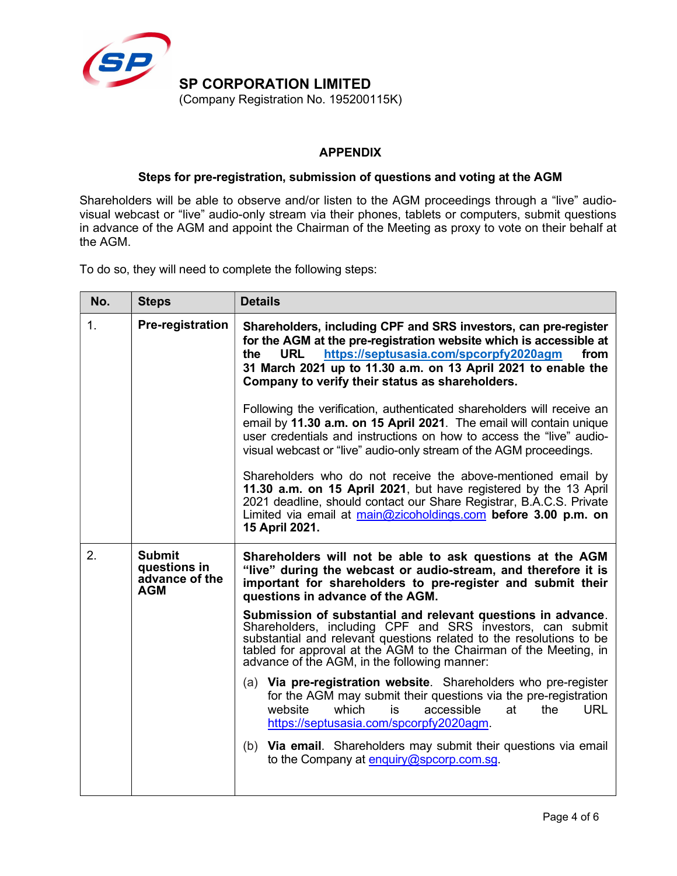

# APPENDIX

## Steps for pre-registration, submission of questions and voting at the AGM

Shareholders will be able to observe and/or listen to the AGM proceedings through a "live" audiovisual webcast or "live" audio-only stream via their phones, tablets or computers, submit questions in advance of the AGM and appoint the Chairman of the Meeting as proxy to vote on their behalf at the AGM.

To do so, they will need to complete the following steps:

| No.                                                                 | <b>Steps</b>            | <b>Details</b>                                                                                                                                                                                                                                                                                                                   |
|---------------------------------------------------------------------|-------------------------|----------------------------------------------------------------------------------------------------------------------------------------------------------------------------------------------------------------------------------------------------------------------------------------------------------------------------------|
| 1.                                                                  | <b>Pre-registration</b> | Shareholders, including CPF and SRS investors, can pre-register<br>for the AGM at the pre-registration website which is accessible at<br>https://septusasia.com/spcorpfy2020agm<br>from<br>the<br><b>URL</b><br>31 March 2021 up to 11.30 a.m. on 13 April 2021 to enable the<br>Company to verify their status as shareholders. |
|                                                                     |                         | Following the verification, authenticated shareholders will receive an<br>email by 11.30 a.m. on 15 April 2021. The email will contain unique<br>user credentials and instructions on how to access the "live" audio-<br>visual webcast or "live" audio-only stream of the AGM proceedings.                                      |
|                                                                     |                         | Shareholders who do not receive the above-mentioned email by<br>11.30 a.m. on 15 April 2021, but have registered by the 13 April<br>2021 deadline, should contact our Share Registrar, B.A.C.S. Private<br>Limited via email at main@zicoholdings.com before 3.00 p.m. on<br>15 April 2021.                                      |
| <b>Submit</b><br>2.<br>questions in<br>advance of the<br><b>AGM</b> |                         | Shareholders will not be able to ask questions at the AGM<br>"live" during the webcast or audio-stream, and therefore it is<br>important for shareholders to pre-register and submit their<br>questions in advance of the AGM.                                                                                                   |
|                                                                     |                         | Submission of substantial and relevant questions in advance.<br>Shareholders, including CPF and SRS investors, can submit<br>substantial and relevant questions related to the resolutions to be<br>tabled for approval at the AGM to the Chairman of the Meeting, in<br>advance of the AGM, in the following manner:            |
|                                                                     |                         | (a) Via pre-registration website. Shareholders who pre-register<br>for the AGM may submit their questions via the pre-registration<br>website<br>which<br>accessible<br><b>URL</b><br>is<br>at<br>the<br>https://septusasia.com/spcorpfy2020agm.                                                                                 |
|                                                                     |                         | (b) Via email. Shareholders may submit their questions via email<br>to the Company at enquiry@spcorp.com.sq.                                                                                                                                                                                                                     |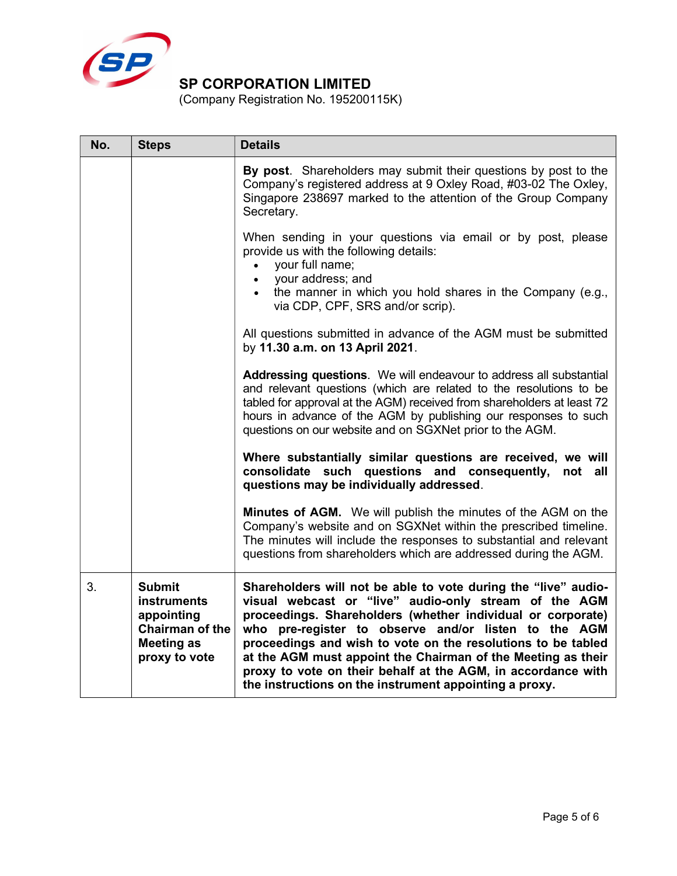

(Company Registration No. 195200115K)

| No. | <b>Steps</b>                                                                                                      | <b>Details</b>                                                                                                                                                                                                                                                                                                                                                                                                                                                                                           |  |  |
|-----|-------------------------------------------------------------------------------------------------------------------|----------------------------------------------------------------------------------------------------------------------------------------------------------------------------------------------------------------------------------------------------------------------------------------------------------------------------------------------------------------------------------------------------------------------------------------------------------------------------------------------------------|--|--|
|     |                                                                                                                   | By post. Shareholders may submit their questions by post to the<br>Company's registered address at 9 Oxley Road, #03-02 The Oxley,<br>Singapore 238697 marked to the attention of the Group Company<br>Secretary.                                                                                                                                                                                                                                                                                        |  |  |
|     |                                                                                                                   | When sending in your questions via email or by post, please<br>provide us with the following details:<br>your full name;<br>your address; and<br>$\bullet$<br>the manner in which you hold shares in the Company (e.g.,<br>via CDP, CPF, SRS and/or scrip).                                                                                                                                                                                                                                              |  |  |
|     |                                                                                                                   | All questions submitted in advance of the AGM must be submitted<br>by 11.30 a.m. on 13 April 2021.                                                                                                                                                                                                                                                                                                                                                                                                       |  |  |
|     |                                                                                                                   | Addressing questions. We will endeavour to address all substantial<br>and relevant questions (which are related to the resolutions to be<br>tabled for approval at the AGM) received from shareholders at least 72<br>hours in advance of the AGM by publishing our responses to such<br>questions on our website and on SGXNet prior to the AGM.                                                                                                                                                        |  |  |
|     |                                                                                                                   | Where substantially similar questions are received, we will<br>consolidate such questions and consequently, not all<br>questions may be individually addressed.                                                                                                                                                                                                                                                                                                                                          |  |  |
|     |                                                                                                                   | Minutes of AGM. We will publish the minutes of the AGM on the<br>Company's website and on SGXNet within the prescribed timeline.<br>The minutes will include the responses to substantial and relevant<br>questions from shareholders which are addressed during the AGM.                                                                                                                                                                                                                                |  |  |
| 3.  | <b>Submit</b><br><b>instruments</b><br>appointing<br><b>Chairman of the</b><br><b>Meeting as</b><br>proxy to vote | Shareholders will not be able to vote during the "live" audio-<br>visual webcast or "live" audio-only stream of the AGM<br>proceedings. Shareholders (whether individual or corporate)<br>who pre-register to observe and/or listen to the AGM<br>proceedings and wish to vote on the resolutions to be tabled<br>at the AGM must appoint the Chairman of the Meeting as their<br>proxy to vote on their behalf at the AGM, in accordance with<br>the instructions on the instrument appointing a proxy. |  |  |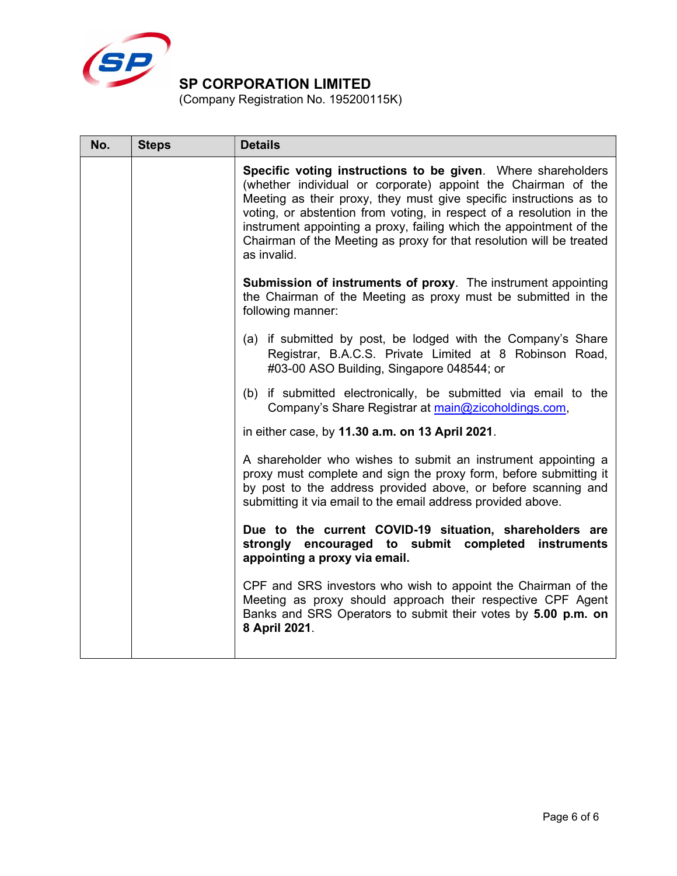

(Company Registration No. 195200115K)

| No. | <b>Steps</b> | <b>Details</b>                                                                                                                                                                                                                                                                                                                                                                                                                            |  |  |
|-----|--------------|-------------------------------------------------------------------------------------------------------------------------------------------------------------------------------------------------------------------------------------------------------------------------------------------------------------------------------------------------------------------------------------------------------------------------------------------|--|--|
|     |              | Specific voting instructions to be given. Where shareholders<br>(whether individual or corporate) appoint the Chairman of the<br>Meeting as their proxy, they must give specific instructions as to<br>voting, or abstention from voting, in respect of a resolution in the<br>instrument appointing a proxy, failing which the appointment of the<br>Chairman of the Meeting as proxy for that resolution will be treated<br>as invalid. |  |  |
|     |              | <b>Submission of instruments of proxy.</b> The instrument appointing<br>the Chairman of the Meeting as proxy must be submitted in the<br>following manner:                                                                                                                                                                                                                                                                                |  |  |
|     |              | (a) if submitted by post, be lodged with the Company's Share<br>Registrar, B.A.C.S. Private Limited at 8 Robinson Road,<br>#03-00 ASO Building, Singapore 048544; or                                                                                                                                                                                                                                                                      |  |  |
|     |              | (b) if submitted electronically, be submitted via email to the<br>Company's Share Registrar at main@zicoholdings.com,                                                                                                                                                                                                                                                                                                                     |  |  |
|     |              | in either case, by 11.30 a.m. on 13 April 2021.                                                                                                                                                                                                                                                                                                                                                                                           |  |  |
|     |              | A shareholder who wishes to submit an instrument appointing a<br>proxy must complete and sign the proxy form, before submitting it<br>by post to the address provided above, or before scanning and<br>submitting it via email to the email address provided above.                                                                                                                                                                       |  |  |
|     |              | Due to the current COVID-19 situation, shareholders are<br>strongly encouraged to submit completed instruments<br>appointing a proxy via email.                                                                                                                                                                                                                                                                                           |  |  |
|     |              | CPF and SRS investors who wish to appoint the Chairman of the<br>Meeting as proxy should approach their respective CPF Agent<br>Banks and SRS Operators to submit their votes by 5.00 p.m. on<br>8 April 2021.                                                                                                                                                                                                                            |  |  |
|     |              |                                                                                                                                                                                                                                                                                                                                                                                                                                           |  |  |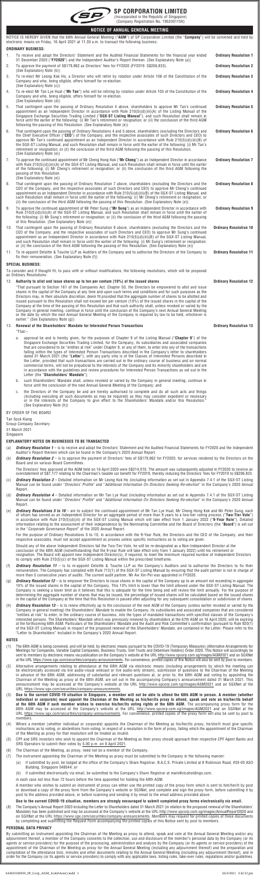

#### **SP CORPORATION LIMITED** (Incorporated in the Republic of Singapore)

(Company Registration No. 195200115K)

**NOTICE OF ANNUAL GENERAL MEETING**

| wytwa yr Awwyne yswawe wsetuw                                                                                                              |                              |
|--------------------------------------------------------------------------------------------------------------------------------------------|------------------------------|
| NOTICE IS HEREBY GIVEN that the 68th Annual General Meeting ("AGM") of SP Corporation Limited (the "Company") will be convened and held by |                              |
| electronic means on Friday, 16 April 2021 at 11.30 a.m. to transact the following business:                                                |                              |
| ORDINARY BUSINESS:                                                                                                                         |                              |
| To receive and adopt the Directors' Statement and the Audited Financial Statements for the financial year ended                            | <b>Ordinary Resolution 1</b> |

|    | ו ס וטטטוס מווע מעטאר נווט ביווערטוס סנמנטווטות מווע העשונטע ו ווומווטומו סנמנטוווטות זיווי וווומווטומו לטמר ט<br>31 December 2020 (" <b>FY2020</b> ") and the Independent Auditor's Report thereon. (See Explanatory Note (a))                                                                                                                                                                                                                                                                                                                     | <b>UIUIIIUIV ILUSUIULIUII I</b> |
|----|-----------------------------------------------------------------------------------------------------------------------------------------------------------------------------------------------------------------------------------------------------------------------------------------------------------------------------------------------------------------------------------------------------------------------------------------------------------------------------------------------------------------------------------------------------|---------------------------------|
| 2. | To approve the payment of S\$179,862 as Directors' fees for FY2020 (FY2019: S\$206,833).<br>(See Explanatory Note (b))                                                                                                                                                                                                                                                                                                                                                                                                                              | <b>Ordinary Resolution 2</b>    |
| 3. | To re-elect Mr Leong Kok Ho, a Director who will retire by rotation under Article 106 of the Constitution of the<br>Company and who, being eligible, offers himself for re-election.<br>(See Explanatory Note (c))                                                                                                                                                                                                                                                                                                                                  | <b>Ordinary Resolution 3</b>    |
| 4. | To re-elect Mr Tan Lye Huat ("Mr Tan") who will be retiring by rotation under Article 105 of the Constitution of the<br>Company and who, being eligible, offers himself for re-election.<br>(See Explanatory Note (d))                                                                                                                                                                                                                                                                                                                              | <b>Ordinary Resolution 4</b>    |
| 5. | That contingent upon the passing of Ordinary Resolution 4 above, shareholders to approve Mr Tan's continued<br>appointment as an Independent Director in accordance with Rule $210(5)(d)(iii)(A)$ of the Listing Manual of the<br>Singapore Exchange Securities Trading Limited ("SGX-ST Listing Manual"), and such Resolution shall remain in<br>force until the earlier of the following: (i) Mr Tan's retirement or resignation; or (ii) the conclusion of the third AGM<br>following the passing of this Resolution. (See Explanatory Note (e)) | <b>Ordinary Resolution 5</b>    |
| 6  | That contingent upon the passing of Ordinary Resolutions 4 and 5 above, shareholders (excluding the Directors and                                                                                                                                                                                                                                                                                                                                                                                                                                   | Ordinary Resolution 6           |

| That contingent upon the passing of Ordinary Resolutions 4 and 5 above, shareholders (excluding the Directors and<br>the Chief Executive Officer ("CEO") of the Company, and the respective associates of such Directors and CEO) to | Ordinary Res |
|--------------------------------------------------------------------------------------------------------------------------------------------------------------------------------------------------------------------------------------|--------------|
| approve Mr Tan's continued appointment as an Independent Director in accordance with Rule 210(5)(d)(iii)(B) of                                                                                                                       |              |
| the SGX-ST Listing Manual, and such Resolution shall remain in force until the earlier of the following: (i) Mr Tan's                                                                                                                |              |
| retirement or resignation; or (ii) the conclusion of the third AGM following the passing of this Resolution.                                                                                                                         |              |
| (See Explanatory Note (e))                                                                                                                                                                                                           |              |

**Ordinary Resolution 7**

**Ordinary Resolution 8**

- 7. To approve the continued appointment of Mr Cheng Hong Kok ("**Mr Cheng**") as an Independent Director in accordance with Rule 210(5)(d)(iii)(A) of the SGX-ST Listing Manual, and such Resolution shall remain in force until the earlier of the following: (i) Mr Cheng's retirement or resignation; or (ii) the conclusion of the third AGM following the passing of this Resolution. (See Explanatory Note (e))
- 8. That contingent upon the passing of Ordinary Resolution 7 above, shareholders (excluding the Directors and the CEO of the Company, and the respective associates of such Directors and CEO) to approve Mr Cheng's continued appointment as an Independent Director in accordance with Rule 210(5)(d)(iii)(B) of the SGX-ST Listing Manual, and such Resolution shall remain in force until the earlier of the following: (i) Mr Cheng's retirement or resignation; or (ii) the conclusion of the third AGM following the passing of this Resolution. (See Explanatory Note (e))
- 9. To approve the continued appointment of Mr Peter Sung ("**Mr Sung**") as an Independent Director in accordance with Rule 210(5)(d)(iii)(A) of the SGX-ST Listing Manual, and such Resolution shall remain in force until the earlier of the following: (i) Mr Sung's retirement or resignation; or (ii) the conclusion of the third AGM following the passing of this Resolution. (See Explanatory Note (e)) **Ordinary Resolution 9**
- 10. That contingent upon the passing of Ordinary Resolution 9 above, shareholders (excluding the Directors and the CEO of the Company, and the respective associates of such Directors and CEO) to approve Mr Sung's continued appointment as an Independent Director in accordance with Rule 210(5)(d)(iii)(B) of the SGX-ST Listing Manual, and such Resolution shall remain in force until the earlier of the following: (i) Mr Sung's retirement or resignation; or (ii) the conclusion of the third AGM following the passing of this Resolution. (See Explanatory Note (e)) **Ordinary Resolution 10**

- (a) **Ordinary Resolution 1** is to receive and adopt the Directors' Statement and the Audited Financial Statements for FY2020 and the Independent Auditor's Report thereon which can be found in the Company's 2020 Annual Report.
- (b) *Ordinary Resolution 2*  is to approve the payment of Directors' fees of S\$179,862 for FY2020, for services rendered by the Directors on the Board and on various Board Committees.

11. To re-appoint Deloitte & Touche LLP as Auditors of the Company and to authorise the Directors of the Company to fix their remuneration. (See Explanatory Note (f)) **Ordinary Resolution 11**

#### **SPECIAL BUSINESS:**

To consider and if thought fit, to pass with or without modifications, the following resolutions, which will be proposed as Ordinary Resolutions:

12. **Authority to allot and issue shares up to ten per centum (10%) of the issued shares Ordinary Resolution 12**

"That pursuant to Section 161 of the Companies Act, Chapter 50, the Directors be empowered to allot and issue shares in the capital of the Company at any time and upon such terms and conditions and for such purposes as the Directors may, in their absolute discretion, deem fit provided that the aggregate number of shares to be allotted and issued pursuant to this Resolution shall not exceed ten per centum (10%) of the issued shares in the capital of the Company at the time of the passing of this Resolution and that such authority shall, unless revoked or varied by the Company in general meeting, continue in force until the conclusion of the Company's next Annual General Meeting or the date by which the next Annual General Meeting of the Company is required by law to be held, whichever is earlier." (See Explanatory Note (g))

#### 13. **Renewal of the Shareholders' Mandate for Interested Person Transactions Ordinary Resolution 13** "That:–

a. approval be and is hereby given, for the purposes of Chapter 9 of the Listing Manual ("**Chapter 9**") of the Singapore Exchange Securities Trading Limited, for the Company, its subsidiaries and associated companies that are considered to be "entities at risk" under Chapter 9, or any of them, to enter into any of the transactions falling within the types of Interested Person Transactions described in the Company's letter to shareholders dated 31 March 2021 (the "**Letter**"), with any party who is of the Classes of Interested Persons described in the Letter, provided that such transactions are carried out in the ordinary course of business and on normal commercial terms, will not be prejudicial to the interests of the Company and its minority shareholders and are in accordance with the guidelines and review procedures for Interested Person Transactions as set out in the Letter (the "**Shareholders' Mandate**");

- b. such Shareholders' Mandate shall, unless revoked or varied by the Company in general meeting, continue in force until the conclusion of the next Annual General Meeting of the Company; and
- c. the Directors of the Company be and are hereby authorised to complete and do all such acts and things (including executing all such documents as may be required) as they may consider expedient or necessary or in the interests of the Company to give effect to the Shareholders' Mandate and/or this Resolution. (See Explanatory Note (h))

BY ORDER OF THE BOARD

Tan Sock Kiang

Group Company Secretary

31 March 2021 Singapore

#### **EXPLANATORY NOTES ON BUSINESSES TO BE TRANSACTED**

The Directors' fees approved at the AGM held on 16 April 2020 were S\$214,010. The amount was subsequently adjusted in FY2020 to reverse an overstatement of S\$7,177 relating to the Chairman's taxable car benefit for FY2019, thereby reducing the Directors' fees for FY2019 to S\$206,833. (c) *Ordinary Resolution 3* – Detailed information on Mr Leong Kok Ho (including information as set out in Appendix 7.4.1 of the SGX-ST Listing

- Manual can be found under "*Directors' Profile*" and "*Additional Information On Directors Seeking Re-election*" in the Company's 2020 Annual Report.
- (d) *Ordinary Resolution 4* Detailed information on Mr Tan Lye Huat (including information as set out in Appendix 7.4.1 of the SGX-ST Listing Manual can be found under "*Directors' Profile*" and "*Additional Information On Directors Seeking Re-election*" in the Company's 2020 Annual Report.

(e) *Ordinary Resolutions 5 to 10* – are to subject the continued appointment of Mr Tan Lye Huat, Mr Cheng Hong Kok and Mr Peter Sung, each of whom has served as an Independent Director for an aggregate period of more than 9 years to a two-tier voting process ("**Two-Tier Vote**") in accordance with Rule 210(5)(d)(iii) of the SGX-ST Listing Manual which will take effect from 1 January 2022 ("**9-Year Rule**"). Detailed information relating to the assessment of their independence by the Nominating Committee and the Board of Directors (the "**Board**") is set out in the "*Corporate Governance Report*" of the 2020 Annual Report.

For the purpose of Ordinary Resolutions 5 to 10, in accordance with the 9-Year Rule, the Directors and the CEO of the Company, and their respective associates, must not accept appointment as proxies unless specific instructions as to voting are given.

Should any of the above Independent Directors fail the Two-Tier Vote, he will be re-designated as a Non-Independent Director at the conclusion of the 68th AGM (notwithstanding that the 9-year Rule will take effect only from 1 January 2022) until his retirement or resignation. The Board will appoint new Independent Director(s), if required, to meet the minimum required number of Independent Directors to comply with Rule 210(5)(c) of the SGX-ST Listing Manual within the prescribed timeframe.

- (f) *Ordinary Resolution 11*  is to re-appoint Deloitte & Touche LLP as the Company's Auditors and to authorise the Directors to fix their remuneration. The Company has complied with Rule 713(1) of the SGX-ST Listing Manual by ensuring that the audit partner is not in charge of more than 5 consecutive years of audits. The current audit partner, Mr Aw Xin-Pei was appointed in FY2020.
- (g) *Ordinary Resolution 12*  is to empower the Directors to issue shares in the capital of the Company up to an amount not exceeding in aggregate 10% of the issued shares in the capital of the Company. This 10% limit is lower than the limit allowed under the SGX-ST Listing Manual. Company is seeking a lower limit as it believes that this is adequate for the time being and will review the limit annually. For the purpose of determining the aggregate number of shares that may be issued, the percentage of issued shares will be calculated based on the issued shares in the capital of the Company at the time that this Resolution is passed after adjusting for any subsequent consolidation or subdivision of shares.
- (h) *Ordinary Resolution 13*  is to renew effectively up to the conclusion of the next AGM of the Company (unless earlier revoked or varied by the Company in general meeting) the Shareholders' Mandate to enable the Company, its subsidiaries and associated companies that are considered "entities at risk" to enter, in the ordinary course of business, into the types of mandated transactions with specified classes of the Company's interested persons. The Shareholders' Mandate which was previously renewed by shareholders at the 67th AGM on 16 April 2020, will be expiring at the forthcoming 68th AGM. Particulars of the Shareholders' Mandate and the Audit and Risk Committee's confirmation (pursuant to Rule 920(1) of the SGX-ST Listing Manual) in respect of the proposed renewal of the Shareholders' Mandate, are contained in the Letter. Please refer to the "Letter to Shareholders" included in the Company's 2020 Annual Report.

#### **NOTES**

- (1) The 68th AGM is being convened, and will be held, by electronic means pursuant to the COVID-19 (Temporary Measures) (Alternative Arrangements for Meetings for Companies, Variable Capital Companies, Business Trusts, Unit Trusts and Debenture Holders) Order 2020. This Notice will accordingly be sent to members by electronic means via publication on the Company's website at the URL http://www.spcorp.com.sg/images/AGM2021 and on SGXNet at the URL https://www.sgx.com/securities/company-announcements. For convenience, printed copies of this Notice will also be sent by post to members.
- (2) Alternative arrangements relating to attendance at the 68th AGM via electronic means (including arrangements by which the meeting can be electronically accessed via live audio-visual webcast or live audio-only stream), submission of questions to the Chairman of the Meeting in advance of the 68th AGM, addressing of substantial and relevant questions at, or prior to, the 68th AGM and voting by appointing the Chairman of the Meeting as proxy at the 68th AGM, are set out in the accompanying Company's announcement dated 31 March 2021. This announcement may be accessed at the Company's website at the URL http://www.spcorp.com.sg/images/AGM2021 and on SGXNet at the URL https://www.sgx.com/securities/company-announcements.
- (3) **Due to the current COVID-19 situation in Singapore, a member will not be able to attend the 68th AGM in person. A member (whether individual or corporate) must appoint the Chairman of the Meeting as his/her/its proxy to attend, speak and vote on his/her/its behalf at the 68th AGM if such member wishes to exercise his/her/its voting rights at the 68th AGM.** The accompanying proxy form for the 68th AGM may be accessed at the Company's website at the URL http://www.spcorp.com.sg/images/AGM2021 and on SGXNet at the URL https://www.sgx.com/securities/company-announcements. For convenience, printed copies of the proxy form will also be sent by post to members.
- (4) Where a member (whether individual or corporate) appoints the Chairman of the Meeting as his/her/its proxy, he/she/it must give specific instructions as to voting, or abstentions from voting, in respect of a resolution in the form of proxy, failing which the appointment of the Chairman of the Meeting as proxy for that resolution will be treated as invalid.
- (5) CPF and SRS investors who wish to appoint the Chairman of the Meeting as their proxy should approach their respective CPF Agent Banks and SRS Operators to submit their votes by 5.00 p.m. on 8 April 2021.
- (6) The Chairman of the Meeting, as proxy, need not be a member of the Company.
- (7) The instrument appointing the Chairman of the Meeting as proxy must be submitted to the Company in the following manner:
	- (a) if submitted by post, be lodged at the office of the Company's Share Registrar, B.A.C.S. Private Limited at 8 Robinson Road, #03-00 ASO Building, Singapore 048544; or
	- (b) if submitted electronically via email, be submitted to the Company's Share Registrar at main@zicoholdings.com,

in each case not less than 72 hours before the time appointed for holding the 68th AGM.

A member who wishes to submit an instrument of proxy can either use the printed copy of the proxy form which is sent to him/her/it by post or download a copy of the proxy form from the Company's website or SGXNet, and complete and sign the proxy form, before submitting it by post to the address provided above, or before scanning and sending it by email to the email address provided above.

#### **Due to the current COVID-19 situation, members are strongly encouraged to submit completed proxy forms electronically via email.**

(8) The Company's Annual Report 2020 including the Letter to Shareholders dated 31 March 2021 (in relation to the proposed renewal of the Shareholders' Mandate) has been published and may be accessed at the Company's website at the URL http://www.spcorp.com.sg/images/AnnualReport2020 and on SGXNet at the URL https://www.sgx.com/securities/company-announcements. Members may request for printed copies of these documents by completing and submitting the Request Form accompanying the printed copies of this Notice sent by post to members.

#### **PERSONAL DATA PRIVACY**

By submitting an instrument appointing the Chairman of the Meeting as proxy to attend, speak and vote at the Annual General Meeting and/or any adjournment thereof, a member of the Company consents to the collection, use and disclosure of the member's personal data by the Company (or its agents or service providers) for the purpose of the processing, administration and analysis by the Company (or its agents or service providers) of the appointment of the Chairman of the Meeting as proxy for the Annual General Meeting (including any adjournment thereof) and the preparation and compilation of the attendance lists, minutes and other documents relating to the Annual General Meeting (including any adjournment thereof), and in order for the Company (or its agents or service providers) to comply with any applicable laws, listing rules, take-over rules, regulations and/or guidelines.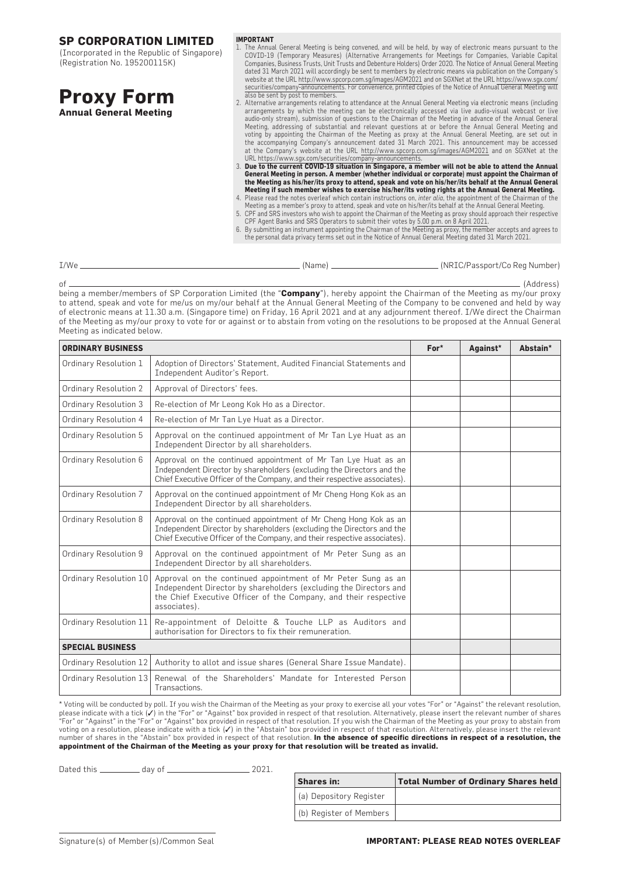(Incorporated in the Republic of Singapore) (Registration No. 195200115K)

| <b>Proxy Form</b>      |  |
|------------------------|--|
| Annual General Meeting |  |

- **IMPORTANT**
- 1. The Annual General Meeting is being convened, and will be held, by way of electronic means pursuant to the COVID-19 (Temporary Measures) (Alternative Arrangements for Meetings for Companies, Variable Capital Companies, Business Trusts, Unit Trusts and Debenture Holders) Order 2020. The Notice of Annual General Meeting dated 31 March 2021 will accordingly be sent to members by electronic means via publication on the Company's website at the URL http://www.spcorp.com.sg/images/AGM2021 and on SGXNet at the URL https://www.sgx.com/ securities/company-announcements. For convenience, printed copies of the Notice of Annual General Meeting will also be sent by post to members.
- 2. Alternative arrangements relating to attendance at the Annual General Meeting via electronic means (including arrangements by which the meeting can be electronically accessed via live audio-visual webcast or live audio-only stream), submission of questions to the Chairman of the Meeting in advance of the Annual General Meeting, addressing of substantial and relevant questions at or before the Annual General Meeting and voting by appointing the Chairman of the Meeting as proxy at the Annual General Meeting, are set out in the accompanying Company's announcement dated 31 March 2021. This announcement may be accessed at the Company's website at the URL http://www.spcorp.com.sg/images/AGM2021 and on SGXNet at the<br>URL https://www.sqx.com/securities/company-announcements.

3. **Due to the current COVID-19 situation in Singapore, a member will not be able to attend the Annual General Meeting in person. A member (whether individual or corporate) must appoint the Chairman of** 

- **the Meeting as his/her/its proxy to attend, speak and vote on his/her/its behalf at the Annual General<br>Meeting if such member wishes to exercise his/her/its voting rights at the Annual General Meeting.<br>A. Please read the**
- CPF Agent Banks and SRS Operators to submit their votes by 5.00 p.m. on 8 April 2021. 6. By submitting an instrument appointing the Chairman of the Meeting as proxy, the member accepts and agrees to
- the personal data privacy terms set out in the Notice of Annual General Meeting dated 31 March 2021.

| I/We | (Name) | . (NRIC/Passport/Co Reg Number) |
|------|--------|---------------------------------|
|      |        |                                 |

of (Address) being a member/members of SP Corporation Limited (the "**Company**"), hereby appoint the Chairman of the Meeting as my/our proxy to attend, speak and vote for me/us on my/our behalf at the Annual General Meeting of the Company to be convened and held by way of electronic means at 11.30 a.m. (Singapore time) on Friday, 16 April 2021 and at any adjournment thereof. I/We direct the Chairman of the Meeting as my/our proxy to vote for or against or to abstain from voting on the resolutions to be proposed at the Annual General Meeting as indicated below.

| <b>ORDINARY BUSINESS</b> | $For*$                                                                                                                                                                                                                 | Against* | Abstain* |  |
|--------------------------|------------------------------------------------------------------------------------------------------------------------------------------------------------------------------------------------------------------------|----------|----------|--|
| Ordinary Resolution 1    | Adoption of Directors' Statement, Audited Financial Statements and<br>Independent Auditor's Report.                                                                                                                    |          |          |  |
| Ordinary Resolution 2    | Approval of Directors' fees.                                                                                                                                                                                           |          |          |  |
| Ordinary Resolution 3    | Re-election of Mr Leong Kok Ho as a Director.                                                                                                                                                                          |          |          |  |
| Ordinary Resolution 4    | Re-election of Mr Tan Lye Huat as a Director.                                                                                                                                                                          |          |          |  |
| Ordinary Resolution 5    | Approval on the continued appointment of Mr Tan Lye Huat as an<br>Independent Director by all shareholders.                                                                                                            |          |          |  |
| Ordinary Resolution 6    | Approval on the continued appointment of Mr Tan Lye Huat as an<br>Independent Director by shareholders (excluding the Directors and the<br>Chief Executive Officer of the Company, and their respective associates).   |          |          |  |
| Ordinary Resolution 7    | Approval on the continued appointment of Mr Cheng Hong Kok as an<br>Independent Director by all shareholders.                                                                                                          |          |          |  |
| Ordinary Resolution 8    | Approval on the continued appointment of Mr Cheng Hong Kok as an<br>Independent Director by shareholders (excluding the Directors and the<br>Chief Executive Officer of the Company, and their respective associates). |          |          |  |
| Ordinary Resolution 9    | Approval on the continued appointment of Mr Peter Sung as an<br>Independent Director by all shareholders.                                                                                                              |          |          |  |
| Ordinary Resolution 10   | Approval on the continued appointment of Mr Peter Sung as an<br>Independent Director by shareholders (excluding the Directors and<br>the Chief Executive Officer of the Company, and their respective<br>associates).  |          |          |  |
| Ordinary Resolution 11   | Re-appointment of Deloitte & Touche LLP as Auditors and<br>authorisation for Directors to fix their remuneration.                                                                                                      |          |          |  |
| <b>SPECIAL BUSINESS</b>  |                                                                                                                                                                                                                        |          |          |  |
| Ordinary Resolution 12   | Authority to allot and issue shares (General Share Issue Mandate).                                                                                                                                                     |          |          |  |
| Ordinary Resolution 13   | Renewal of the Shareholders' Mandate for Interested Person<br>Transactions.                                                                                                                                            |          |          |  |

\* Voting will be conducted by poll. If you wish the Chairman of the Meeting as your proxy to exercise all your votes "For" or "Against" the relevant resolution,<br>please indicate with a tick (✔) in the "For" or "Against" bo "For" or "Against" in the "For" or "Against" box provided in respect of that resolution. If you wish the Chairman of the Meeting as your proxy to abstain from voting on a resolution, please indicate with a tick (✓) in the "Abstain" box provided in respect of that resolution. Alternatively, please insert the relevant number of shares in the "Abstain" box provided in respect of that resolution. **In the absence of specific directions in respect of a resolution, the appointment of the Chairman of the Meeting as your proxy for that resolution will be treated as invalid.**

Dated this day of 2021.

| <b>Shares in:</b>       | <b>Total Number of Ordinary Shares held</b> |
|-------------------------|---------------------------------------------|
| (a) Depository Register |                                             |
| (b) Register of Members |                                             |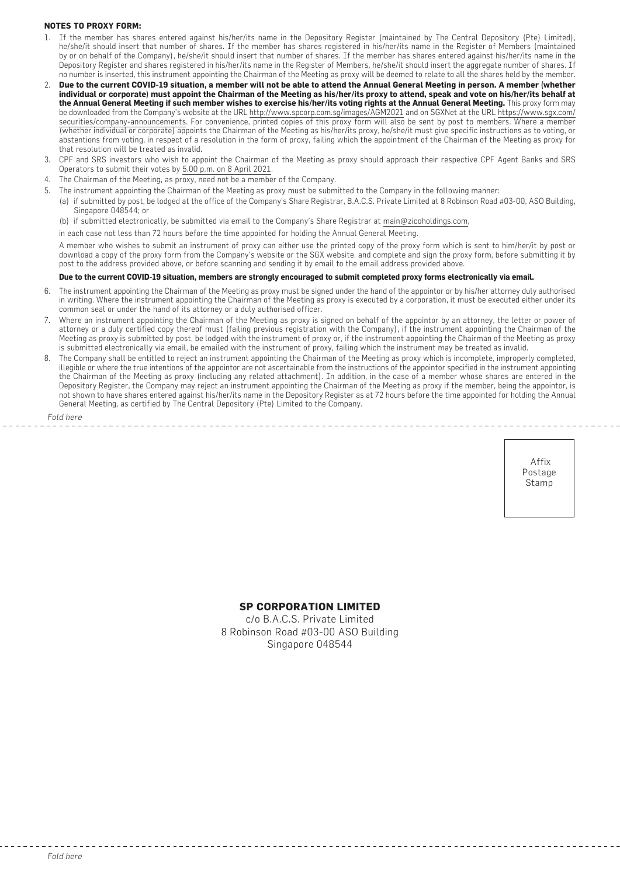#### **NOTES TO PROXY FORM:**

- 1. If the member has shares entered against his/her/its name in the Depository Register (maintained by The Central Depository (Pte) Limited), he/she/it should insert that number of shares. If the member has shares registered in his/her/its name in the Register of Members (maintained by or on behalf of the Company), he/she/it should insert that number of shares. If the member has shares entered against his/her/its name in the Depository Register and shares registered in his/her/its name in the Register of Members, he/she/it should insert the aggregate number of shares. If no number is inserted, this instrument appointing the Chairman of the Meeting as proxy will be deemed to relate to all the shares held by the member.
- 2. **Due to the current COVID-19 situation, a member will not be able to attend the Annual General Meeting in person. A member (whether individual or corporate) must appoint the Chairman of the Meeting as his/her/its proxy to attend, speak and vote on his/her/its behalf at the Annual General Meeting if such member wishes to exercise his/her/its voting rights at the Annual General Meeting.** This proxy form may be downloaded from the Company's website at the URL http://www.spcorp.com.sg/images/AGM2021 and on SGXNet at the URL https://www.sgx.com/ securities/company-announcements. For convenience, printed copies of this proxy form will also be sent by post to members. Where a member (whether individual or corporate) appoints the Chairman of the Meeting as his/her/its proxy, he/she/it must give specific instructions as to voting, or abstentions from voting, in respect of a resolution in the form of proxy, failing which the appointment of the Chairman of the Meeting as proxy for that resolution will be treated as invalid.
- 3. CPF and SRS investors who wish to appoint the Chairman of the Meeting as proxy should approach their respective CPF Agent Banks and SRS Operators to submit their votes by 5.00 p.m. on 8 April 2021.
- 4. The Chairman of the Meeting, as proxy, need not be a member of the Company.
- 5. The instrument appointing the Chairman of the Meeting as proxy must be submitted to the Company in the following manner:
	- (a) if submitted by post, be lodged at the office of the Company's Share Registrar, B.A.C.S. Private Limited at 8 Robinson Road #03-00, ASO Building, Singapore 048544; or

(b) if submitted electronically, be submitted via email to the Company's Share Registrar at main@zicoholdings.com,

in each case not less than 72 hours before the time appointed for holding the Annual General Meeting.

A member who wishes to submit an instrument of proxy can either use the printed copy of the proxy form which is sent to him/her/it by post or download a copy of the proxy form from the Company's website or the SGX website, and complete and sign the proxy form, before submitting it by post to the address provided above, or before scanning and sending it by email to the email address provided above.

#### **Due to the current COVID-19 situation, members are strongly encouraged to submit completed proxy forms electronically via email.**

- 6. The instrument appointing the Chairman of the Meeting as proxy must be signed under the hand of the appointor or by his/her attorney duly authorised in writing. Where the instrument appointing the Chairman of the Meeting as proxy is executed by a corporation, it must be executed either under its common seal or under the hand of its attorney or a duly authorised officer.
- 7. Where an instrument appointing the Chairman of the Meeting as proxy is signed on behalf of the appointor by an attorney, the letter or power of attorney or a duly certified copy thereof must (failing previous registration with the Company), if the instrument appointing the Chairman of the Meeting as proxy is submitted by post, be lodged with the instrument of proxy or, if the instrument appointing the Chairman of the Meeting as proxy is submitted electronically via email, be emailed with the instrument of proxy, failing which the instrument may be treated as invalid.
- 8. The Company shall be entitled to reject an instrument appointing the Chairman of the Meeting as proxy which is incomplete, improperly completed, illegible or where the true intentions of the appointor are not ascertainable from the instructions of the appointor specified in the instrument appointing the Chairman of the Meeting as proxy (including any related attachment). In addition, in the case of a member whose shares are entered in the Depository Register, the Company may reject an instrument appointing the Chairman of the Meeting as proxy if the member, being the appointor, is not shown to have shares entered against his/her/its name in the Depository Register as at 72 hours before the time appointed for holding the Annual General Meeting, as certified by The Central Depository (Pte) Limited to the Company.

*Fold here*

 Affix Postage Stamp

#### **SP CORPORATION LIMITED**

c/o B.A.C.S. Private Limited 8 Robinson Road #03-00 ASO Building Singapore 048544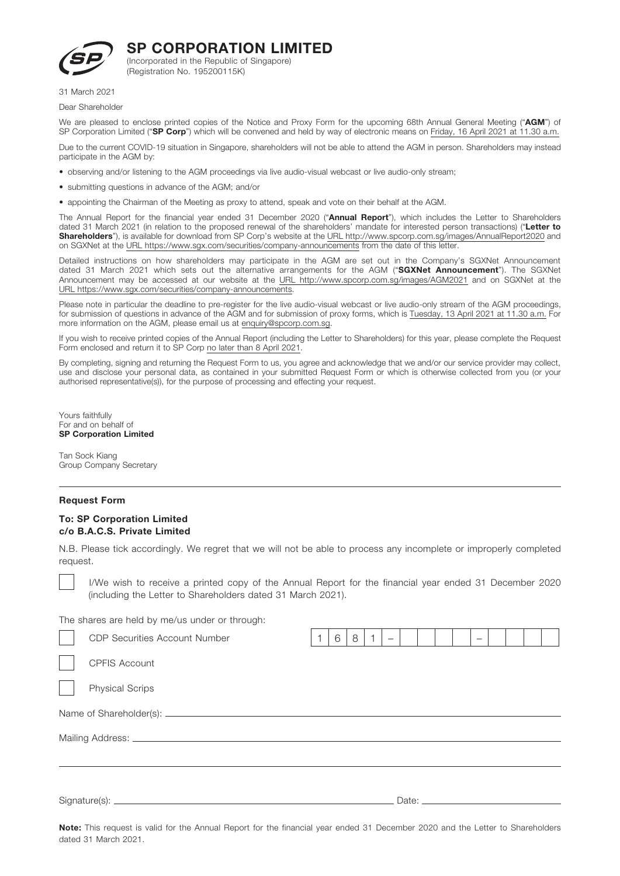

(Incorporated in the Republic of Singapore) (Registration No. 195200115K)

31 March 2021

Dear Shareholder

We are pleased to enclose printed copies of the Notice and Proxy Form for the upcoming 68th Annual General Meeting ("AGM") of SP Corporation Limited ("SP Corp") which will be convened and held by way of electronic means on Friday, 16 April 2021 at 11.30 a.m.

Due to the current COVID-19 situation in Singapore, shareholders will not be able to attend the AGM in person. Shareholders may instead participate in the AGM by:

- observing and/or listening to the AGM proceedings via live audio-visual webcast or live audio-only stream;
- submitting questions in advance of the AGM; and/or
- appointing the Chairman of the Meeting as proxy to attend, speak and vote on their behalf at the AGM.

The Annual Report for the financial year ended 31 December 2020 ("Annual Report"), which includes the Letter to Shareholders dated 31 March 2021 (in relation to the proposed renewal of the shareholders' mandate for interested person transactions) ("Letter to **Shareholders**"), is available for download from SP Corp's website at the URL http://www.spcorp.com.sg/images/AnnualReport2020 and on SGXNet at the URL https://www.sgx.com/securities/company-announcements from the date of this letter.

Detailed instructions on how shareholders may participate in the AGM are set out in the Company's SGXNet Announcement dated 31 March 2021 which sets out the alternative arrangements for the AGM ("SGXNet Announcement"). The SGXNet Announcement may be accessed at our website at the URL http://www.spcorp.com.sg/images/AGM2021 and on SGXNet at the URL https://www.sgx.com/securities/company-announcements.

Please note in particular the deadline to pre-register for the live audio-visual webcast or live audio-only stream of the AGM proceedings, for submission of questions in advance of the AGM and for submission of proxy forms, which is Tuesday, 13 April 2021 at 11.30 a.m. For more information on the AGM, please email us at enquiry@spcorp.com.sg.

If you wish to receive printed copies of the Annual Report (including the Letter to Shareholders) for this year, please complete the Request Form enclosed and return it to SP Corp no later than 8 April 2021.

By completing, signing and returning the Request Form to us, you agree and acknowledge that we and/or our service provider may collect, use and disclose your personal data, as contained in your submitted Request Form or which is otherwise collected from you (or your authorised representative(s)), for the purpose of processing and effecting your request.

Yours faithfully For and on behalf of SP Corporation Limited

Tan Sock Kiang Group Company Secretary

#### Request Form

#### To: SP Corporation Limited c/o B.A.C.S. Private Limited

N.B. Please tick accordingly. We regret that we will not be able to process any incomplete or improperly completed request.

 I/We wish to receive a printed copy of the Annual Report for the financial year ended 31 December 2020 (including the Letter to Shareholders dated 31 March 2021).

The shares are held by me/us under or through:

|  | <b>CDP Securities Account Number</b> |  | 6 | 8 |  |  |  |  |  |  |  |
|--|--------------------------------------|--|---|---|--|--|--|--|--|--|--|
|  | <b>CPFIS Account</b>                 |  |   |   |  |  |  |  |  |  |  |
|  | <b>Physical Scrips</b>               |  |   |   |  |  |  |  |  |  |  |
|  |                                      |  |   |   |  |  |  |  |  |  |  |
|  |                                      |  |   |   |  |  |  |  |  |  |  |
|  |                                      |  |   |   |  |  |  |  |  |  |  |
|  |                                      |  |   |   |  |  |  |  |  |  |  |

Note: This request is valid for the Annual Report for the financial year ended 31 December 2020 and the Letter to Shareholders dated 31 March 2021.